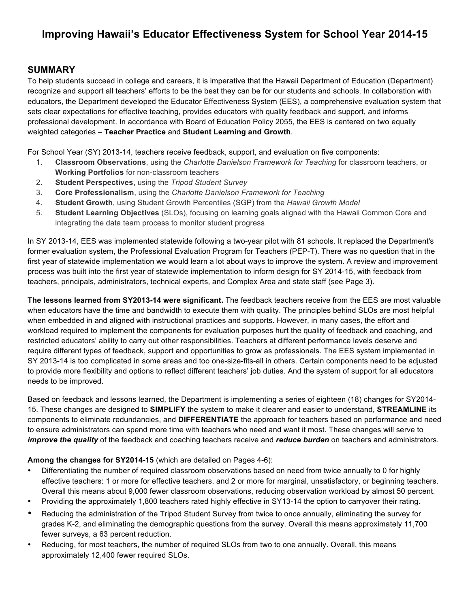# **Improving Hawaii's Educator Effectiveness System for School Year 2014-15**

### **SUMMARY**

To help students succeed in college and careers, it is imperative that the Hawaii Department of Education (Department) recognize and support all teachers' efforts to be the best they can be for our students and schools. In collaboration with educators, the Department developed the Educator Effectiveness System (EES), a comprehensive evaluation system that sets clear expectations for effective teaching, provides educators with quality feedback and support, and informs professional development. In accordance with Board of Education Policy 2055, the EES is centered on two equally weighted categories – **Teacher Practice** and **Student Learning and Growth**.

For School Year (SY) 2013-14, teachers receive feedback, support, and evaluation on five components:

- 1. **Classroom Observations**, using the *Charlotte Danielson Framework for Teaching* for classroom teachers, or **Working Portfolios** for non-classroom teachers
- 2. **Student Perspectives,** using the *Tripod Student Survey*
- 3. **Core Professionalism**, using the *Charlotte Danielson Framework for Teaching*
- 4. **Student Growth**, using Student Growth Percentiles (SGP) from the *Hawaii Growth Model*
- 5. **Student Learning Objectives** (SLOs), focusing on learning goals aligned with the Hawaii Common Core and integrating the data team process to monitor student progress

In SY 2013-14, EES was implemented statewide following a two-year pilot with 81 schools. It replaced the Department's former evaluation system, the Professional Evaluation Program for Teachers (PEP-T). There was no question that in the first year of statewide implementation we would learn a lot about ways to improve the system. A review and improvement process was built into the first year of statewide implementation to inform design for SY 2014-15, with feedback from teachers, principals, administrators, technical experts, and Complex Area and state staff (see Page 3).

**The lessons learned from SY2013-14 were significant.** The feedback teachers receive from the EES are most valuable when educators have the time and bandwidth to execute them with quality. The principles behind SLOs are most helpful when embedded in and aligned with instructional practices and supports. However, in many cases, the effort and workload required to implement the components for evaluation purposes hurt the quality of feedback and coaching, and restricted educators' ability to carry out other responsibilities. Teachers at different performance levels deserve and require different types of feedback, support and opportunities to grow as professionals. The EES system implemented in SY 2013-14 is too complicated in some areas and too one-size-fits-all in others. Certain components need to be adjusted to provide more flexibility and options to reflect different teachers' job duties. And the system of support for all educators needs to be improved.

Based on feedback and lessons learned, the Department is implementing a series of eighteen (18) changes for SY2014- 15. These changes are designed to **SIMPLIFY** the system to make it clearer and easier to understand, **STREAMLINE** its components to eliminate redundancies, and **DIFFERENTIATE** the approach for teachers based on performance and need to ensure administrators can spend more time with teachers who need and want it most. These changes will serve to *improve the quality* of the feedback and coaching teachers receive and *reduce burden* on teachers and administrators.

#### **Among the changes for SY2014-15** (which are detailed on Pages 4-6):

- Differentiating the number of required classroom observations based on need from twice annually to 0 for highly effective teachers: 1 or more for effective teachers, and 2 or more for marginal, unsatisfactory, or beginning teachers. Overall this means about 9,000 fewer classroom observations, reducing observation workload by almost 50 percent.
- Providing the approximately 1,800 teachers rated highly effective in SY13-14 the option to carryover their rating.
- Reducing the administration of the Tripod Student Survey from twice to once annually, eliminating the survey for grades K-2, and eliminating the demographic questions from the survey. Overall this means approximately 11,700 fewer surveys, a 63 percent reduction.
- Reducing, for most teachers, the number of required SLOs from two to one annually. Overall, this means approximately 12,400 fewer required SLOs.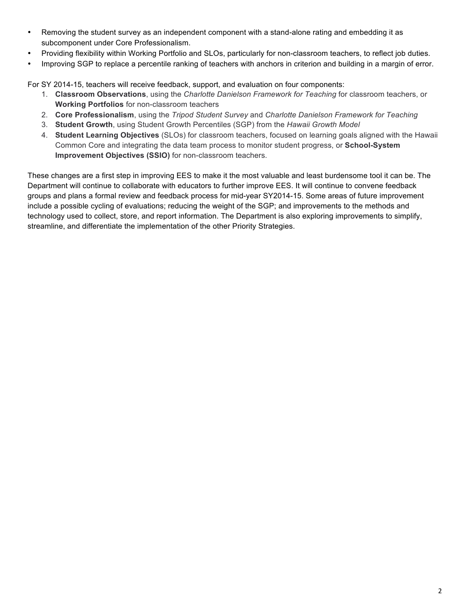- Removing the student survey as an independent component with a stand-alone rating and embedding it as subcomponent under Core Professionalism.
- Providing flexibility within Working Portfolio and SLOs, particularly for non-classroom teachers, to reflect job duties.
- Improving SGP to replace a percentile ranking of teachers with anchors in criterion and building in a margin of error.

For SY 2014-15, teachers will receive feedback, support, and evaluation on four components:

- 1. **Classroom Observations**, using the *Charlotte Danielson Framework for Teaching* for classroom teachers, or **Working Portfolios** for non-classroom teachers
- 2. **Core Professionalism**, using the *Tripod Student Survey* and *Charlotte Danielson Framework for Teaching*
- 3. **Student Growth**, using Student Growth Percentiles (SGP) from the *Hawaii Growth Model*
- 4. **Student Learning Objectives** (SLOs) for classroom teachers, focused on learning goals aligned with the Hawaii Common Core and integrating the data team process to monitor student progress, or **School-System Improvement Objectives (SSIO)** for non-classroom teachers.

These changes are a first step in improving EES to make it the most valuable and least burdensome tool it can be. The Department will continue to collaborate with educators to further improve EES. It will continue to convene feedback groups and plans a formal review and feedback process for mid-year SY2014-15. Some areas of future improvement include a possible cycling of evaluations; reducing the weight of the SGP; and improvements to the methods and technology used to collect, store, and report information. The Department is also exploring improvements to simplify, streamline, and differentiate the implementation of the other Priority Strategies.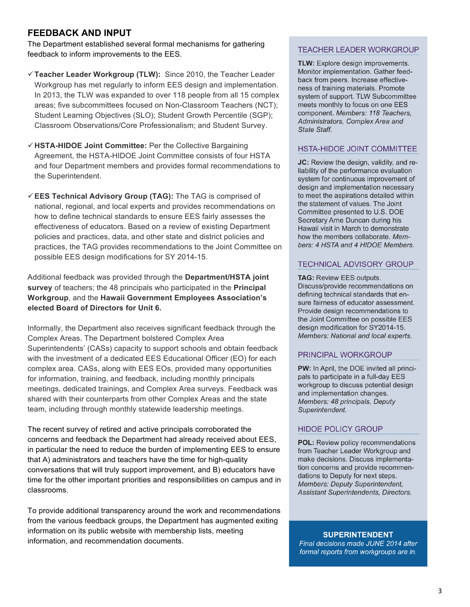### **FEEDBACK AND INPUT**

The Department established several formal mechanisms for gathering feedback to inform improvements to the EES.

- ü**Teacher Leader Workgroup (TLW):** Since 2010, the Teacher Leader Workgroup has met regularly to inform EES design and implementation. In 2013, the TLW was expanded to over 118 people from all 15 complex areas; five subcommittees focused on Non-Classroom Teachers (NCT); Student Learning Objectives (SLO); Student Growth Percentile (SGP); Classroom Observations/Core Professionalism; and Student Survey.
- ü**HSTA-HIDOE Joint Committee:** Per the Collective Bargaining Agreement, the HSTA-HIDOE Joint Committee consists of four HSTA and four Department members and provides formal recommendations to the Superintendent.
- ü**EES Technical Advisory Group (TAG):** The TAG is comprised of national, regional, and local experts and provides recommendations on how to define technical standards to ensure EES fairly assesses the effectiveness of educators. Based on a review of existing Department policies and practices, data, and other state and district policies and practices, the TAG provides recommendations to the Joint Committee on possible EES design modifications for SY 2014-15.

Additional feedback was provided through the **Department/HSTA joint survey** of teachers; the 48 principals who participated in the **Principal Workgroup**, and the **Hawaii Government Employees Association's elected Board of Directors for Unit 6.**

Informally, the Department also receives significant feedback through the Complex Areas. The Department bolstered Complex Area Superintendents' (CASs) capacity to support schools and obtain feedback with the investment of a dedicated EES Educational Officer (EO) for each complex area. CASs, along with EES EOs, provided many opportunities for information, training, and feedback, including monthly principals meetings, dedicated trainings, and Complex Area surveys. Feedback was shared with their counterparts from other Complex Areas and the state team, including through monthly statewide leadership meetings.

The recent survey of retired and active principals corroborated the concerns and feedback the Department had already received about EES, in particular the need to reduce the burden of implementing EES to ensure that A) administrators and teachers have the time for high-quality conversations that will truly support improvement, and B) educators have time for the other important priorities and responsibilities on campus and in classrooms.

To provide additional transparency around the work and recommendations from the various feedback groups, the Department has augmented exiting information on its public website with membership lists, meeting information, and recommendation documents.

### **TEACHER LEADER WORKGROUP**

**TLW:** Explore design improvements. Monitor implementation. Gather feedback from peers. Increase effectiveness of training materials. Promote system of support. TLW Subcommittee meets monthly to focus on one EES component. Members: 118 Teachers. Administrators, Complex Area and State Staff.

### HSTA-HIDOE JOINT COMMITTEE

JC: Review the design, validity, and reliability of the performance evaluation system for continuous improvement of design and implementation necessary to meet the aspirations detailed within the statement of values. The Joint Committee presented to U.S. DOE Secretary Arne Duncan during his Hawaii visit in March to demonstrate how the members collaborate. Members: 4 HSTA and 4 HIDOE Members.

#### **TECHNICAL ADVISORY GROUP**

**TAG: Review EES outputs.** Discuss/provide recommendations on defining technical standards that ensure fairness of educator assessment. Provide design recommendations to the Joint Committee on possible EES design modification for SY2014-15. Members: National and local experts.

#### PRINCIPAL WORKGROUP

**PW:** In April, the DOE invited all principals to participate in a full-day EES workgroup to discuss potential design and implementation changes. Members: 48 principals, Deputy Superintendent.

#### **HIDOE POLICY GROUP**

POL: Review policy recommendations from Teacher Leader Workgroup and make decisions. Discuss implementation concerns and provide recommendations to Deputy for next steps. Members: Deputy Superintendent, Assistant Superintendents, Directors.

#### **SUPERINTENDENT**

Final decisions made JUNE 2014 after formal reports from workgroups are in.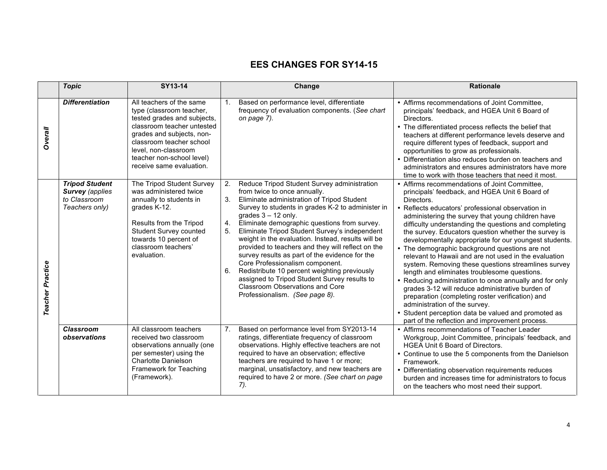## **EES CHANGES FOR SY14-15**

|                  | <b>Topic</b>                                                                      | SY13-14                                                                                                                                                                                                                                                     | Change                                                                                                                                                                                                                                                                                                                                                                                                                                                                                                                                                                                                                                                                                                             | <b>Rationale</b>                                                                                                                                                                                                                                                                                                                                                                                                                                                                                                                                                                                                                                                                                                                                                                                                                                                                                                                   |
|------------------|-----------------------------------------------------------------------------------|-------------------------------------------------------------------------------------------------------------------------------------------------------------------------------------------------------------------------------------------------------------|--------------------------------------------------------------------------------------------------------------------------------------------------------------------------------------------------------------------------------------------------------------------------------------------------------------------------------------------------------------------------------------------------------------------------------------------------------------------------------------------------------------------------------------------------------------------------------------------------------------------------------------------------------------------------------------------------------------------|------------------------------------------------------------------------------------------------------------------------------------------------------------------------------------------------------------------------------------------------------------------------------------------------------------------------------------------------------------------------------------------------------------------------------------------------------------------------------------------------------------------------------------------------------------------------------------------------------------------------------------------------------------------------------------------------------------------------------------------------------------------------------------------------------------------------------------------------------------------------------------------------------------------------------------|
| Overall          | <b>Differentiation</b>                                                            | All teachers of the same<br>type (classroom teacher,<br>tested grades and subjects,<br>classroom teacher untested<br>grades and subjects, non-<br>classroom teacher school<br>level. non-classroom<br>teacher non-school level)<br>receive same evaluation. | Based on performance level, differentiate<br>1 <sup>1</sup><br>frequency of evaluation components. (See chart<br>on page 7).                                                                                                                                                                                                                                                                                                                                                                                                                                                                                                                                                                                       | • Affirms recommendations of Joint Committee,<br>principals' feedback, and HGEA Unit 6 Board of<br>Directors.<br>• The differentiated process reflects the belief that<br>teachers at different performance levels deserve and<br>require different types of feedback, support and<br>opportunities to grow as professionals.<br>• Differentiation also reduces burden on teachers and<br>administrators and ensures administrators have more<br>time to work with those teachers that need it most.                                                                                                                                                                                                                                                                                                                                                                                                                               |
| Teacher Practice | <b>Tripod Student</b><br><b>Survey (applies</b><br>to Classroom<br>Teachers only) | The Tripod Student Survey<br>was administered twice<br>annually to students in<br>grades K-12.<br>Results from the Tripod<br>Student Survey counted<br>towards 10 percent of<br>classroom teachers'<br>evaluation.                                          | 2.<br>Reduce Tripod Student Survey administration<br>from twice to once annually.<br>Eliminate administration of Tripod Student<br>3.<br>Survey to students in grades K-2 to administer in<br>grades $3 - 12$ only.<br>Eliminate demographic questions from survey.<br>4.<br>Eliminate Tripod Student Survey's independent<br>5.<br>weight in the evaluation. Instead, results will be<br>provided to teachers and they will reflect on the<br>survey results as part of the evidence for the<br>Core Professionalism component.<br>Redistribute 10 percent weighting previously<br>6.<br>assigned to Tripod Student Survey results to<br><b>Classroom Observations and Core</b><br>Professionalism. (See page 8). | • Affirms recommendations of Joint Committee,<br>principals' feedback, and HGEA Unit 6 Board of<br>Directors.<br>• Reflects educators' professional observation in<br>administering the survey that young children have<br>difficulty understanding the questions and completing<br>the survey. Educators question whether the survey is<br>developmentally appropriate for our youngest students.<br>• The demographic background questions are not<br>relevant to Hawaii and are not used in the evaluation<br>system. Removing these questions streamlines survey<br>length and eliminates troublesome questions.<br>• Reducing administration to once annually and for only<br>grades 3-12 will reduce administrative burden of<br>preparation (completing roster verification) and<br>administration of the survey.<br>• Student perception data be valued and promoted as<br>part of the reflection and improvement process. |
|                  | <b>Classroom</b><br>observations                                                  | All classroom teachers<br>received two classroom<br>observations annually (one<br>per semester) using the<br><b>Charlotte Danielson</b><br>Framework for Teaching<br>(Framework).                                                                           | Based on performance level from SY2013-14<br>7.<br>ratings, differentiate frequency of classroom<br>observations. Highly effective teachers are not<br>required to have an observation; effective<br>teachers are required to have 1 or more;<br>marginal, unsatisfactory, and new teachers are<br>required to have 2 or more. (See chart on page<br>7).                                                                                                                                                                                                                                                                                                                                                           | • Affirms recommendations of Teacher Leader<br>Workgroup, Joint Committee, principals' feedback, and<br>HGEA Unit 6 Board of Directors.<br>• Continue to use the 5 components from the Danielson<br>Framework.<br>• Differentiating observation requirements reduces<br>burden and increases time for administrators to focus<br>on the teachers who most need their support.                                                                                                                                                                                                                                                                                                                                                                                                                                                                                                                                                      |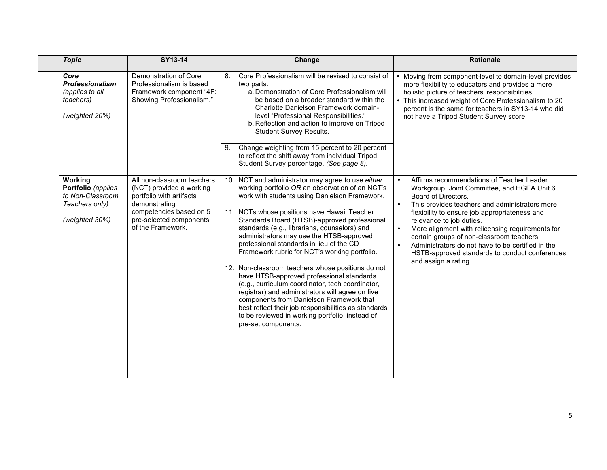| <b>Topic</b>                                                                     | SY13-14                                                                                                    | Change                                                                                                                                                                                                                                                                                                                                                                               | <b>Rationale</b>                                                                                                                                                                                                                                                                                                                    |
|----------------------------------------------------------------------------------|------------------------------------------------------------------------------------------------------------|--------------------------------------------------------------------------------------------------------------------------------------------------------------------------------------------------------------------------------------------------------------------------------------------------------------------------------------------------------------------------------------|-------------------------------------------------------------------------------------------------------------------------------------------------------------------------------------------------------------------------------------------------------------------------------------------------------------------------------------|
| Core<br><b>Professionalism</b><br>(applies to all<br>teachers)<br>(weighted 20%) | Demonstration of Core<br>Professionalism is based<br>Framework component "4F:<br>Showing Professionalism." | Core Professionalism will be revised to consist of<br>8.<br>two parts:<br>a. Demonstration of Core Professionalism will<br>be based on a broader standard within the<br>Charlotte Danielson Framework domain-<br>level "Professional Responsibilities."<br>b. Reflection and action to improve on Tripod<br>Student Survey Results.                                                  | Moving from component-level to domain-level provides<br>more flexibility to educators and provides a more<br>holistic picture of teachers' responsibilities.<br>This increased weight of Core Professionalism to 20<br>percent is the same for teachers in SY13-14 who did<br>not have a Tripod Student Survey score.               |
|                                                                                  |                                                                                                            | Change weighting from 15 percent to 20 percent<br>9.<br>to reflect the shift away from individual Tripod<br>Student Survey percentage. (See page 8).                                                                                                                                                                                                                                 |                                                                                                                                                                                                                                                                                                                                     |
| Working<br>Portfolio (applies<br>to Non-Classroom<br>Teachers only)              | All non-classroom teachers<br>(NCT) provided a working<br>portfolio with artifacts<br>demonstrating        | 10. NCT and administrator may agree to use either<br>working portfolio OR an observation of an NCT's<br>work with students using Danielson Framework.                                                                                                                                                                                                                                | Affirms recommendations of Teacher Leader<br>$\bullet$<br>Workgroup, Joint Committee, and HGEA Unit 6<br>Board of Directors.<br>$\bullet$<br>This provides teachers and administrators more                                                                                                                                         |
| (weighted 30%)                                                                   | competencies based on 5<br>pre-selected components<br>of the Framework.                                    | 11. NCTs whose positions have Hawaii Teacher<br>Standards Board (HTSB)-approved professional<br>standards (e.g., librarians, counselors) and<br>administrators may use the HTSB-approved<br>professional standards in lieu of the CD<br>Framework rubric for NCT's working portfolio.                                                                                                | flexibility to ensure job appropriateness and<br>relevance to job duties.<br>$\bullet$<br>More alignment with relicensing requirements for<br>certain groups of non-classroom teachers.<br>Administrators do not have to be certified in the<br>$\bullet$<br>HSTB-approved standards to conduct conferences<br>and assign a rating. |
|                                                                                  |                                                                                                            | 12. Non-classroom teachers whose positions do not<br>have HTSB-approved professional standards<br>(e.g., curriculum coordinator, tech coordinator,<br>registrar) and administrators will agree on five<br>components from Danielson Framework that<br>best reflect their job responsibilities as standards<br>to be reviewed in working portfolio, instead of<br>pre-set components. |                                                                                                                                                                                                                                                                                                                                     |
|                                                                                  |                                                                                                            |                                                                                                                                                                                                                                                                                                                                                                                      |                                                                                                                                                                                                                                                                                                                                     |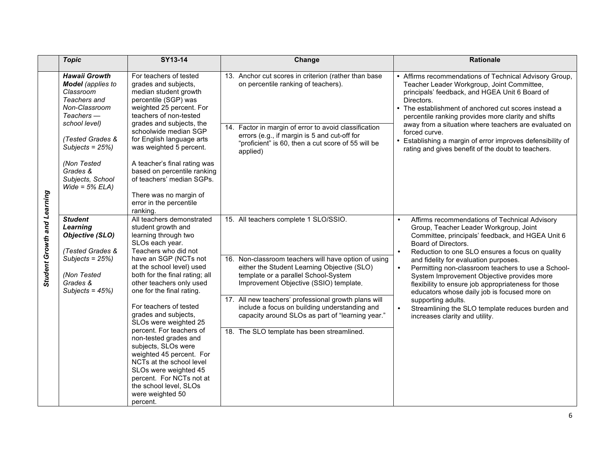|                             | <b>Topic</b>                                                                                                                                                                                                                                  | SY13-14                                                                                                                                                                                                                                                                                                                                                                                                                                                                                                                                                                                           | Change                                                                                                                                                                                                                                                                                                                                                                                                                                    | Rationale                                                                                                                                                                                                                                                                                                                                                                                                                                                                                                                                                                                                                    |
|-----------------------------|-----------------------------------------------------------------------------------------------------------------------------------------------------------------------------------------------------------------------------------------------|---------------------------------------------------------------------------------------------------------------------------------------------------------------------------------------------------------------------------------------------------------------------------------------------------------------------------------------------------------------------------------------------------------------------------------------------------------------------------------------------------------------------------------------------------------------------------------------------------|-------------------------------------------------------------------------------------------------------------------------------------------------------------------------------------------------------------------------------------------------------------------------------------------------------------------------------------------------------------------------------------------------------------------------------------------|------------------------------------------------------------------------------------------------------------------------------------------------------------------------------------------------------------------------------------------------------------------------------------------------------------------------------------------------------------------------------------------------------------------------------------------------------------------------------------------------------------------------------------------------------------------------------------------------------------------------------|
| Student Growth and Learning | <b>Hawaii Growth</b><br><b>Model</b> (applies to<br>Classroom<br>Teachers and<br>Non-Classroom<br>$Teaches$ —<br>school level)<br>(Tested Grades &<br>Subjects = $25\%$ )<br>(Non Tested<br>Grades &<br>Subjects, School<br>Wide = $5\%$ ELA) | For teachers of tested<br>grades and subjects,<br>median student growth<br>percentile (SGP) was<br>weighted 25 percent. For<br>teachers of non-tested<br>grades and subjects, the<br>schoolwide median SGP<br>for English language arts<br>was weighted 5 percent.<br>A teacher's final rating was<br>based on percentile ranking<br>of teachers' median SGPs.<br>There was no margin of<br>error in the percentile<br>ranking.                                                                                                                                                                   | 13. Anchor cut scores in criterion (rather than base<br>on percentile ranking of teachers).<br>14. Factor in margin of error to avoid classification<br>errors (e.g., if margin is 5 and cut-off for<br>"proficient" is 60, then a cut score of 55 will be<br>applied)                                                                                                                                                                    | Affirms recommendations of Technical Advisory Group,<br>Teacher Leader Workgroup, Joint Committee,<br>principals' feedback, and HGEA Unit 6 Board of<br>Directors.<br>The establishment of anchored cut scores instead a<br>percentile ranking provides more clarity and shifts<br>away from a situation where teachers are evaluated on<br>forced curve.<br>Establishing a margin of error improves defensibility of<br>rating and gives benefit of the doubt to teachers.                                                                                                                                                  |
|                             | <b>Student</b><br>Learning<br><b>Objective (SLO)</b><br>(Tested Grades &<br>Subjects = $25\%)$<br>(Non Tested<br>Grades &<br>Subjects = $45\%$ )                                                                                              | All teachers demonstrated<br>student growth and<br>learning through two<br>SLOs each year.<br>Teachers who did not<br>have an SGP (NCTs not<br>at the school level) used<br>both for the final rating; all<br>other teachers only used<br>one for the final rating.<br>For teachers of tested<br>grades and subjects,<br>SLOs were weighted 25<br>percent. For teachers of<br>non-tested grades and<br>subjects, SLOs were<br>weighted 45 percent. For<br>NCTs at the school level<br>SLOs were weighted 45<br>percent. For NCTs not at<br>the school level, SLOs<br>were weighted 50<br>percent. | 15. All teachers complete 1 SLO/SSIO.<br>16. Non-classroom teachers will have option of using<br>either the Student Learning Objective (SLO)<br>template or a parallel School-System<br>Improvement Objective (SSIO) template.<br>17. All new teachers' professional growth plans will<br>include a focus on building understanding and<br>capacity around SLOs as part of "learning year."<br>18. The SLO template has been streamlined. | Affirms recommendations of Technical Advisory<br>$\bullet$<br>Group, Teacher Leader Workgroup, Joint<br>Committee, principals' feedback, and HGEA Unit 6<br>Board of Directors.<br>Reduction to one SLO ensures a focus on quality<br>$\bullet$<br>and fidelity for evaluation purposes.<br>Permitting non-classroom teachers to use a School-<br>$\bullet$<br>System Improvement Objective provides more<br>flexibility to ensure job appropriateness for those<br>educators whose daily job is focused more on<br>supporting adults.<br>Streamlining the SLO template reduces burden and<br>increases clarity and utility. |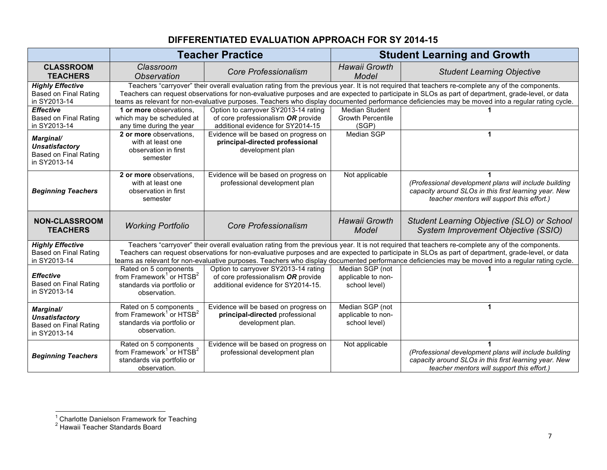## **DIFFERENTIATED EVALUATION APPROACH FOR SY 2014-15**

|                                                                                                                                                                                                                                                                                                                                                                                                                                                                                                                                | <b>Teacher Practice</b>                                                                                                                                                                                                                                                                                                                                                                                                                                    |                                                                                                                  | <b>Student Learning and Growth</b>                         |                                                                                                                                                              |  |
|--------------------------------------------------------------------------------------------------------------------------------------------------------------------------------------------------------------------------------------------------------------------------------------------------------------------------------------------------------------------------------------------------------------------------------------------------------------------------------------------------------------------------------|------------------------------------------------------------------------------------------------------------------------------------------------------------------------------------------------------------------------------------------------------------------------------------------------------------------------------------------------------------------------------------------------------------------------------------------------------------|------------------------------------------------------------------------------------------------------------------|------------------------------------------------------------|--------------------------------------------------------------------------------------------------------------------------------------------------------------|--|
| <b>CLASSROOM</b><br><b>TEACHERS</b>                                                                                                                                                                                                                                                                                                                                                                                                                                                                                            | Classroom<br><b>Observation</b>                                                                                                                                                                                                                                                                                                                                                                                                                            | Core Professionalism                                                                                             | <b>Hawaii Growth</b><br>Model                              | <b>Student Learning Objective</b>                                                                                                                            |  |
| <b>Highly Effective</b><br>Based on Final Rating<br>in SY2013-14                                                                                                                                                                                                                                                                                                                                                                                                                                                               | Teachers "carryover" their overall evaluation rating from the previous year. It is not required that teachers re-complete any of the components.<br>Teachers can request observations for non-evaluative purposes and are expected to participate in SLOs as part of department, grade-level, or data<br>teams as relevant for non-evaluative purposes. Teachers who display documented performance deficiencies may be moved into a regular rating cycle. |                                                                                                                  |                                                            |                                                                                                                                                              |  |
| <b>Effective</b><br>Based on Final Rating<br>in SY2013-14                                                                                                                                                                                                                                                                                                                                                                                                                                                                      | 1 or more observations.<br>which may be scheduled at<br>any time during the year                                                                                                                                                                                                                                                                                                                                                                           | Option to carryover SY2013-14 rating<br>of core professionalism OR provide<br>additional evidence for SY2014-15  | <b>Median Student</b><br><b>Growth Percentile</b><br>(SGP) |                                                                                                                                                              |  |
| Marginal/<br><b>Unsatisfactory</b><br>Based on Final Rating<br>in SY2013-14                                                                                                                                                                                                                                                                                                                                                                                                                                                    | 2 or more observations.<br>with at least one<br>observation in first<br>semester                                                                                                                                                                                                                                                                                                                                                                           | Evidence will be based on progress on<br>principal-directed professional<br>development plan                     | Median SGP                                                 | 1                                                                                                                                                            |  |
| <b>Beginning Teachers</b>                                                                                                                                                                                                                                                                                                                                                                                                                                                                                                      | 2 or more observations,<br>with at least one<br>observation in first<br>semester                                                                                                                                                                                                                                                                                                                                                                           | Evidence will be based on progress on<br>professional development plan                                           | Not applicable                                             | (Professional development plans will include building<br>capacity around SLOs in this first learning year. New<br>teacher mentors will support this effort.) |  |
| <b>NON-CLASSROOM</b><br><b>TEACHERS</b>                                                                                                                                                                                                                                                                                                                                                                                                                                                                                        | <b>Working Portfolio</b>                                                                                                                                                                                                                                                                                                                                                                                                                                   | <b>Core Professionalism</b>                                                                                      | Hawaii Growth<br>Model                                     | Student Learning Objective (SLO) or School<br>System Improvement Objective (SSIO)                                                                            |  |
| Teachers "carryover" their overall evaluation rating from the previous year. It is not required that teachers re-complete any of the components.<br><b>Highly Effective</b><br>Teachers can request observations for non-evaluative purposes and are expected to participate in SLOs as part of department, grade-level, or data<br>Based on Final Rating<br>in SY2013-14<br>teams as relevant for non-evaluative purposes. Teachers who display documented performance deficiencies may be moved into a regular rating cycle. |                                                                                                                                                                                                                                                                                                                                                                                                                                                            |                                                                                                                  |                                                            |                                                                                                                                                              |  |
| <b>Effective</b><br>Based on Final Rating<br>in SY2013-14                                                                                                                                                                                                                                                                                                                                                                                                                                                                      | Rated on 5 components<br>from Framework <sup>1</sup> or HTSB <sup>2</sup><br>standards via portfolio or<br>observation.                                                                                                                                                                                                                                                                                                                                    | Option to carryover SY2013-14 rating<br>of core professionalism OR provide<br>additional evidence for SY2014-15. | Median SGP (not<br>applicable to non-<br>school level)     |                                                                                                                                                              |  |
| Marginal/<br><b>Unsatisfactory</b><br><b>Based on Final Rating</b><br>in SY2013-14                                                                                                                                                                                                                                                                                                                                                                                                                                             | Rated on 5 components<br>from Framework <sup>1</sup> or HTSB <sup>2</sup><br>standards via portfolio or<br>observation.                                                                                                                                                                                                                                                                                                                                    | Evidence will be based on progress on<br>principal-directed professional<br>development plan.                    | Median SGP (not<br>applicable to non-<br>school level)     | $\mathbf 1$                                                                                                                                                  |  |
| <b>Beginning Teachers</b>                                                                                                                                                                                                                                                                                                                                                                                                                                                                                                      | Rated on 5 components<br>from Framework <sup>1</sup> or $HTSB2$<br>standards via portfolio or<br>observation.                                                                                                                                                                                                                                                                                                                                              | Evidence will be based on progress on<br>professional development plan                                           | Not applicable                                             | (Professional development plans will include building<br>capacity around SLOs in this first learning year. New<br>teacher mentors will support this effort.) |  |

<sup>&</sup>lt;u>-</u><br><sup>1</sup> Charlotte Danielson Framework for Teaching

<sup>&</sup>lt;sup>2</sup> Hawaii Teacher Standards Board